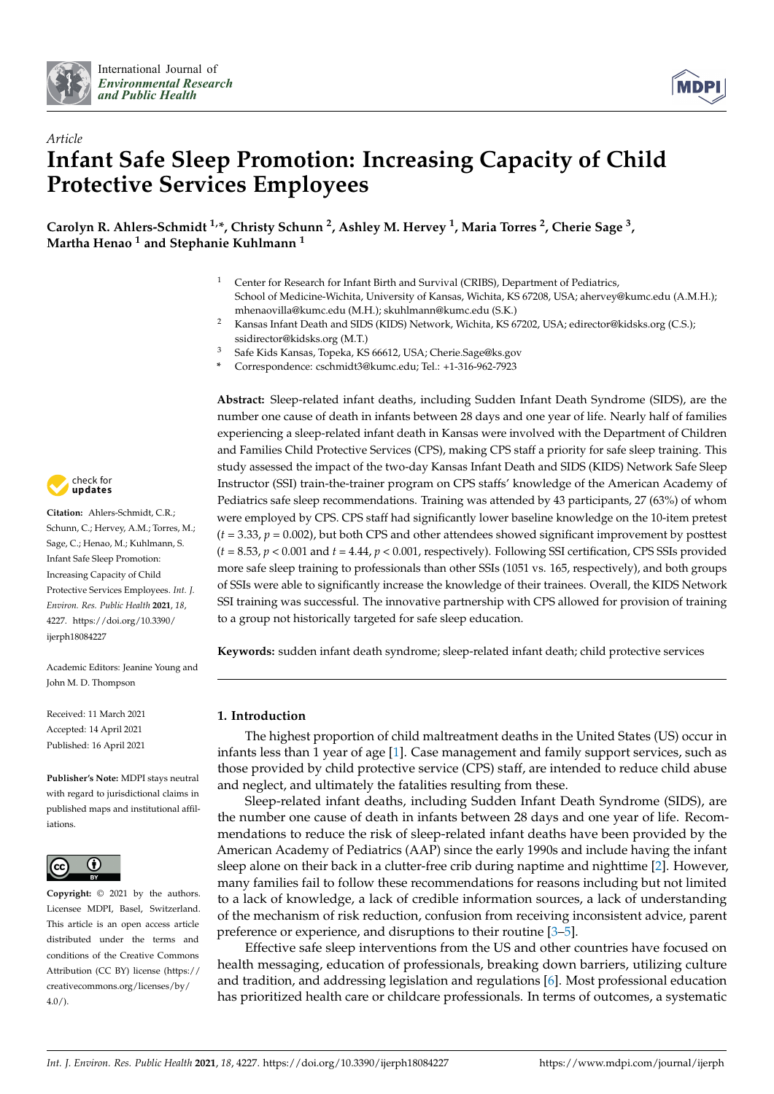



# *Article* **Infant Safe Sleep Promotion: Increasing Capacity of Child Protective Services Employees**

**Carolyn R. Ahlers-Schmidt 1,\*, Christy Schunn <sup>2</sup> , Ashley M. Hervey <sup>1</sup> , Maria Torres <sup>2</sup> , Cherie Sage <sup>3</sup> , Martha Henao <sup>1</sup> and Stephanie Kuhlmann <sup>1</sup>**

- <sup>1</sup> Center for Research for Infant Birth and Survival (CRIBS), Department of Pediatrics, School of Medicine-Wichita, University of Kansas, Wichita, KS 67208, USA; ahervey@kumc.edu (A.M.H.); mhenaovilla@kumc.edu (M.H.); skuhlmann@kumc.edu (S.K.)
- <sup>2</sup> Kansas Infant Death and SIDS (KIDS) Network, Wichita, KS 67202, USA; edirector@kidsks.org (C.S.); ssidirector@kidsks.org (M.T.)
- <sup>3</sup> Safe Kids Kansas, Topeka, KS 66612, USA; Cherie.Sage@ks.gov
- **\*** Correspondence: cschmidt3@kumc.edu; Tel.: +1-316-962-7923



**Citation:** Ahlers-Schmidt, C.R.; Schunn, C.; Hervey, A.M.; Torres, M.; Sage, C.; Henao, M.; Kuhlmann, S. Infant Safe Sleep Promotion: Increasing Capacity of Child Protective Services Employees. *Int. J. Environ. Res. Public Health* **2021**, *18*, 4227. [https://doi.org/10.3390/](https://doi.org/10.3390/ijerph18084227) [ijerph18084227](https://doi.org/10.3390/ijerph18084227)

Academic Editors: Jeanine Young and John M. D. Thompson

Received: 11 March 2021 Accepted: 14 April 2021 Published: 16 April 2021

**Publisher's Note:** MDPI stays neutral with regard to jurisdictional claims in published maps and institutional affiliations.



**Copyright:** © 2021 by the authors. Licensee MDPI, Basel, Switzerland. This article is an open access article distributed under the terms and conditions of the Creative Commons Attribution (CC BY) license (https:/[/](https://creativecommons.org/licenses/by/4.0/) [creativecommons.org/licenses/by/](https://creativecommons.org/licenses/by/4.0/) 4.0/).

**Abstract:** Sleep-related infant deaths, including Sudden Infant Death Syndrome (SIDS), are the number one cause of death in infants between 28 days and one year of life. Nearly half of families experiencing a sleep-related infant death in Kansas were involved with the Department of Children and Families Child Protective Services (CPS), making CPS staff a priority for safe sleep training. This study assessed the impact of the two-day Kansas Infant Death and SIDS (KIDS) Network Safe Sleep Instructor (SSI) train-the-trainer program on CPS staffs' knowledge of the American Academy of Pediatrics safe sleep recommendations. Training was attended by 43 participants, 27 (63%) of whom were employed by CPS. CPS staff had significantly lower baseline knowledge on the 10-item pretest (*t =* 3.33, *p* = 0.002), but both CPS and other attendees showed significant improvement by posttest (*t =* 8.53, *p* < 0.001 and *t =* 4.44, *p* < 0.001, respectively). Following SSI certification, CPS SSIs provided more safe sleep training to professionals than other SSIs (1051 vs. 165, respectively), and both groups of SSIs were able to significantly increase the knowledge of their trainees. Overall, the KIDS Network SSI training was successful. The innovative partnership with CPS allowed for provision of training to a group not historically targeted for safe sleep education.

**Keywords:** sudden infant death syndrome; sleep-related infant death; child protective services

## **1. Introduction**

The highest proportion of child maltreatment deaths in the United States (US) occur in infants less than 1 year of age [\[1\]](#page-7-0). Case management and family support services, such as those provided by child protective service (CPS) staff, are intended to reduce child abuse and neglect, and ultimately the fatalities resulting from these.

Sleep-related infant deaths, including Sudden Infant Death Syndrome (SIDS), are the number one cause of death in infants between 28 days and one year of life. Recommendations to reduce the risk of sleep-related infant deaths have been provided by the American Academy of Pediatrics (AAP) since the early 1990s and include having the infant sleep alone on their back in a clutter-free crib during naptime and nighttime [\[2\]](#page-7-1). However, many families fail to follow these recommendations for reasons including but not limited to a lack of knowledge, a lack of credible information sources, a lack of understanding of the mechanism of risk reduction, confusion from receiving inconsistent advice, parent preference or experience, and disruptions to their routine [\[3](#page-8-0)[–5\]](#page-8-1).

Effective safe sleep interventions from the US and other countries have focused on health messaging, education of professionals, breaking down barriers, utilizing culture and tradition, and addressing legislation and regulations [\[6\]](#page-8-2). Most professional education has prioritized health care or childcare professionals. In terms of outcomes, a systematic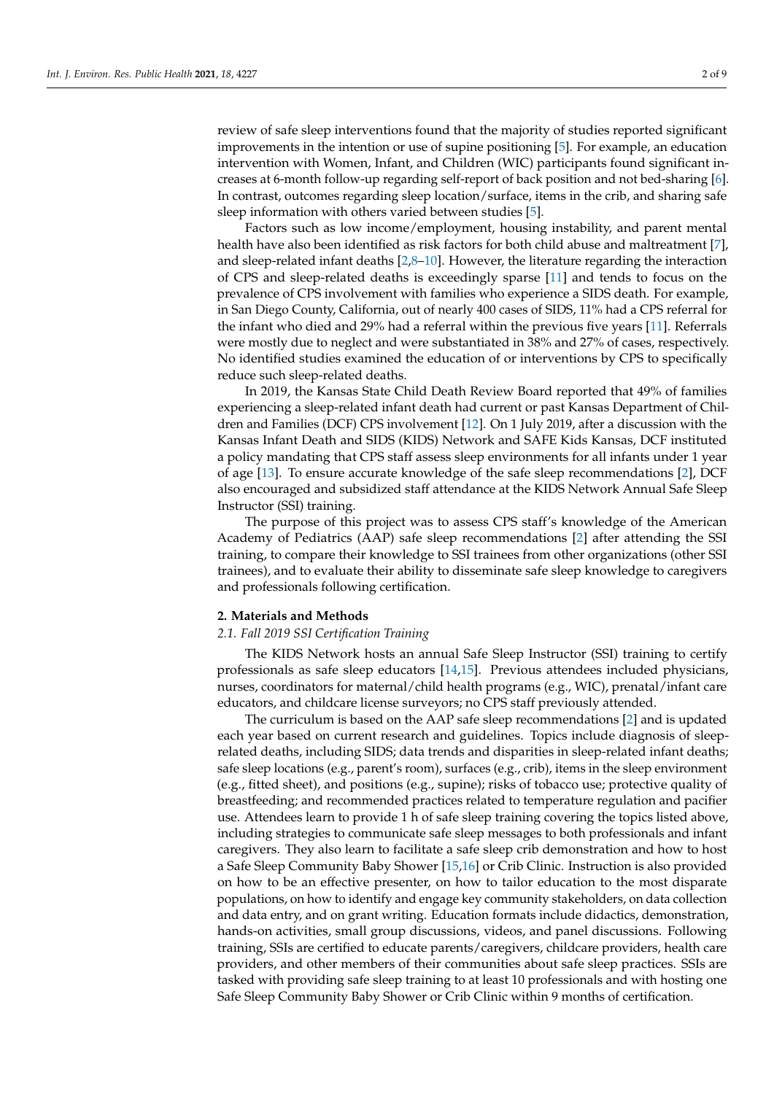review of safe sleep interventions found that the majority of studies reported significant improvements in the intention or use of supine positioning [\[5\]](#page-8-1). For example, an education intervention with Women, Infant, and Children (WIC) participants found significant increases at 6-month follow-up regarding self-report of back position and not bed-sharing [\[6\]](#page-8-2). In contrast, outcomes regarding sleep location/surface, items in the crib, and sharing safe sleep information with others varied between studies [\[5\]](#page-8-1).

Factors such as low income/employment, housing instability, and parent mental health have also been identified as risk factors for both child abuse and maltreatment [\[7\]](#page-8-3), and sleep-related infant deaths  $[2,8-10]$  $[2,8-10]$  $[2,8-10]$ . However, the literature regarding the interaction of CPS and sleep-related deaths is exceedingly sparse [\[11\]](#page-8-6) and tends to focus on the prevalence of CPS involvement with families who experience a SIDS death. For example, in San Diego County, California, out of nearly 400 cases of SIDS, 11% had a CPS referral for the infant who died and 29% had a referral within the previous five years [\[11\]](#page-8-6). Referrals were mostly due to neglect and were substantiated in 38% and 27% of cases, respectively. No identified studies examined the education of or interventions by CPS to specifically reduce such sleep-related deaths.

In 2019, the Kansas State Child Death Review Board reported that 49% of families experiencing a sleep-related infant death had current or past Kansas Department of Children and Families (DCF) CPS involvement [\[12\]](#page-8-7). On 1 July 2019, after a discussion with the Kansas Infant Death and SIDS (KIDS) Network and SAFE Kids Kansas, DCF instituted a policy mandating that CPS staff assess sleep environments for all infants under 1 year of age [\[13\]](#page-8-8). To ensure accurate knowledge of the safe sleep recommendations [\[2\]](#page-7-1), DCF also encouraged and subsidized staff attendance at the KIDS Network Annual Safe Sleep Instructor (SSI) training.

The purpose of this project was to assess CPS staff's knowledge of the American Academy of Pediatrics (AAP) safe sleep recommendations [\[2\]](#page-7-1) after attending the SSI training, to compare their knowledge to SSI trainees from other organizations (other SSI trainees), and to evaluate their ability to disseminate safe sleep knowledge to caregivers and professionals following certification.

#### **2. Materials and Methods**

### *2.1. Fall 2019 SSI Certification Training*

The KIDS Network hosts an annual Safe Sleep Instructor (SSI) training to certify professionals as safe sleep educators [\[14,](#page-8-9)[15\]](#page-8-10). Previous attendees included physicians, nurses, coordinators for maternal/child health programs (e.g., WIC), prenatal/infant care educators, and childcare license surveyors; no CPS staff previously attended.

The curriculum is based on the AAP safe sleep recommendations [\[2\]](#page-7-1) and is updated each year based on current research and guidelines. Topics include diagnosis of sleeprelated deaths, including SIDS; data trends and disparities in sleep-related infant deaths; safe sleep locations (e.g., parent's room), surfaces (e.g., crib), items in the sleep environment (e.g., fitted sheet), and positions (e.g., supine); risks of tobacco use; protective quality of breastfeeding; and recommended practices related to temperature regulation and pacifier use. Attendees learn to provide 1 h of safe sleep training covering the topics listed above, including strategies to communicate safe sleep messages to both professionals and infant caregivers. They also learn to facilitate a safe sleep crib demonstration and how to host a Safe Sleep Community Baby Shower [\[15,](#page-8-10)[16\]](#page-8-11) or Crib Clinic. Instruction is also provided on how to be an effective presenter, on how to tailor education to the most disparate populations, on how to identify and engage key community stakeholders, on data collection and data entry, and on grant writing. Education formats include didactics, demonstration, hands-on activities, small group discussions, videos, and panel discussions. Following training, SSIs are certified to educate parents/caregivers, childcare providers, health care providers, and other members of their communities about safe sleep practices. SSIs are tasked with providing safe sleep training to at least 10 professionals and with hosting one Safe Sleep Community Baby Shower or Crib Clinic within 9 months of certification.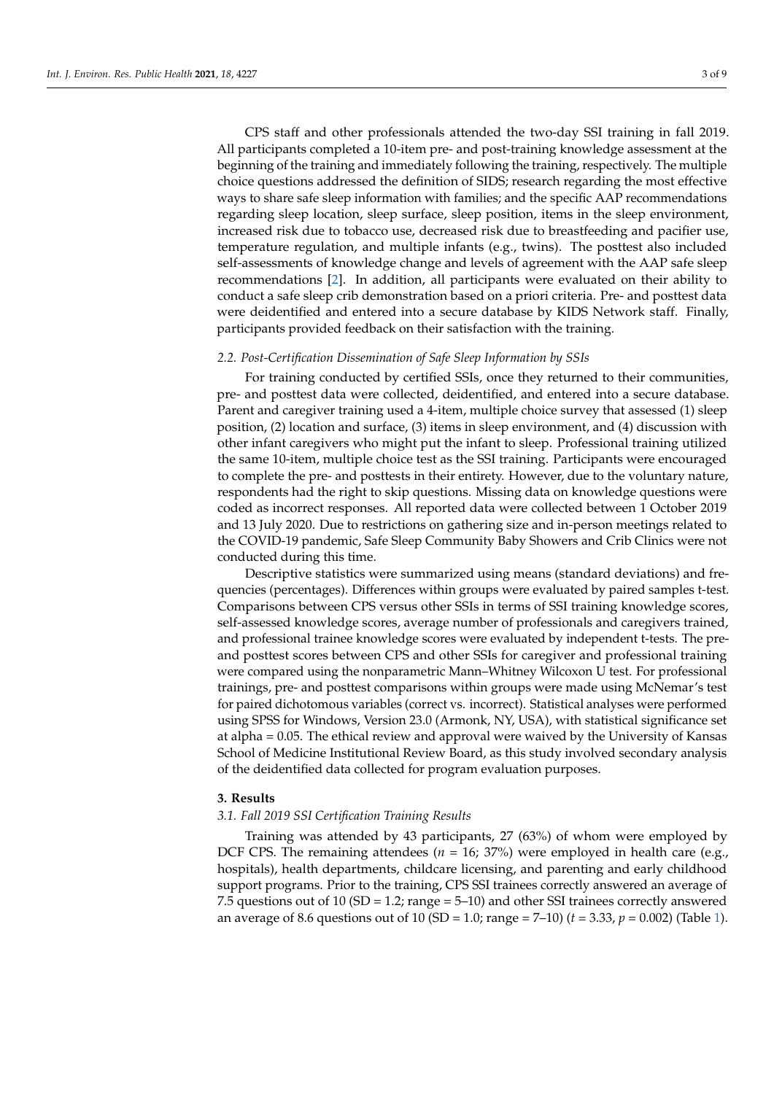CPS staff and other professionals attended the two-day SSI training in fall 2019. All participants completed a 10-item pre- and post-training knowledge assessment at the beginning of the training and immediately following the training, respectively. The multiple choice questions addressed the definition of SIDS; research regarding the most effective ways to share safe sleep information with families; and the specific AAP recommendations regarding sleep location, sleep surface, sleep position, items in the sleep environment, increased risk due to tobacco use, decreased risk due to breastfeeding and pacifier use, temperature regulation, and multiple infants (e.g., twins). The posttest also included self-assessments of knowledge change and levels of agreement with the AAP safe sleep recommendations [\[2\]](#page-7-1). In addition, all participants were evaluated on their ability to conduct a safe sleep crib demonstration based on a priori criteria. Pre- and posttest data were deidentified and entered into a secure database by KIDS Network staff. Finally, participants provided feedback on their satisfaction with the training.

#### *2.2. Post-Certification Dissemination of Safe Sleep Information by SSIs*

For training conducted by certified SSIs, once they returned to their communities, pre- and posttest data were collected, deidentified, and entered into a secure database. Parent and caregiver training used a 4-item, multiple choice survey that assessed (1) sleep position, (2) location and surface, (3) items in sleep environment, and (4) discussion with other infant caregivers who might put the infant to sleep. Professional training utilized the same 10-item, multiple choice test as the SSI training. Participants were encouraged to complete the pre- and posttests in their entirety. However, due to the voluntary nature, respondents had the right to skip questions. Missing data on knowledge questions were coded as incorrect responses. All reported data were collected between 1 October 2019 and 13 July 2020. Due to restrictions on gathering size and in-person meetings related to the COVID-19 pandemic, Safe Sleep Community Baby Showers and Crib Clinics were not conducted during this time.

Descriptive statistics were summarized using means (standard deviations) and frequencies (percentages). Differences within groups were evaluated by paired samples t-test. Comparisons between CPS versus other SSIs in terms of SSI training knowledge scores, self-assessed knowledge scores, average number of professionals and caregivers trained, and professional trainee knowledge scores were evaluated by independent t-tests. The preand posttest scores between CPS and other SSIs for caregiver and professional training were compared using the nonparametric Mann–Whitney Wilcoxon U test. For professional trainings, pre- and posttest comparisons within groups were made using McNemar's test for paired dichotomous variables (correct vs. incorrect). Statistical analyses were performed using SPSS for Windows, Version 23.0 (Armonk, NY, USA), with statistical significance set at alpha = 0.05. The ethical review and approval were waived by the University of Kansas School of Medicine Institutional Review Board, as this study involved secondary analysis of the deidentified data collected for program evaluation purposes.

### **3. Results**

## *3.1. Fall 2019 SSI Certification Training Results*

Training was attended by 43 participants, 27 (63%) of whom were employed by DCF CPS. The remaining attendees ( $n = 16$ ; 37%) were employed in health care (e.g., hospitals), health departments, childcare licensing, and parenting and early childhood support programs. Prior to the training, CPS SSI trainees correctly answered an average of 7.5 questions out of 10 (SD = 1.2; range = 5–10) and other SSI trainees correctly answered an average of 8.6 questions out of 10 (SD = 1.0; range = 7–10) (*t =* 3.33, *p* = 0.002) (Table [1\)](#page-3-0).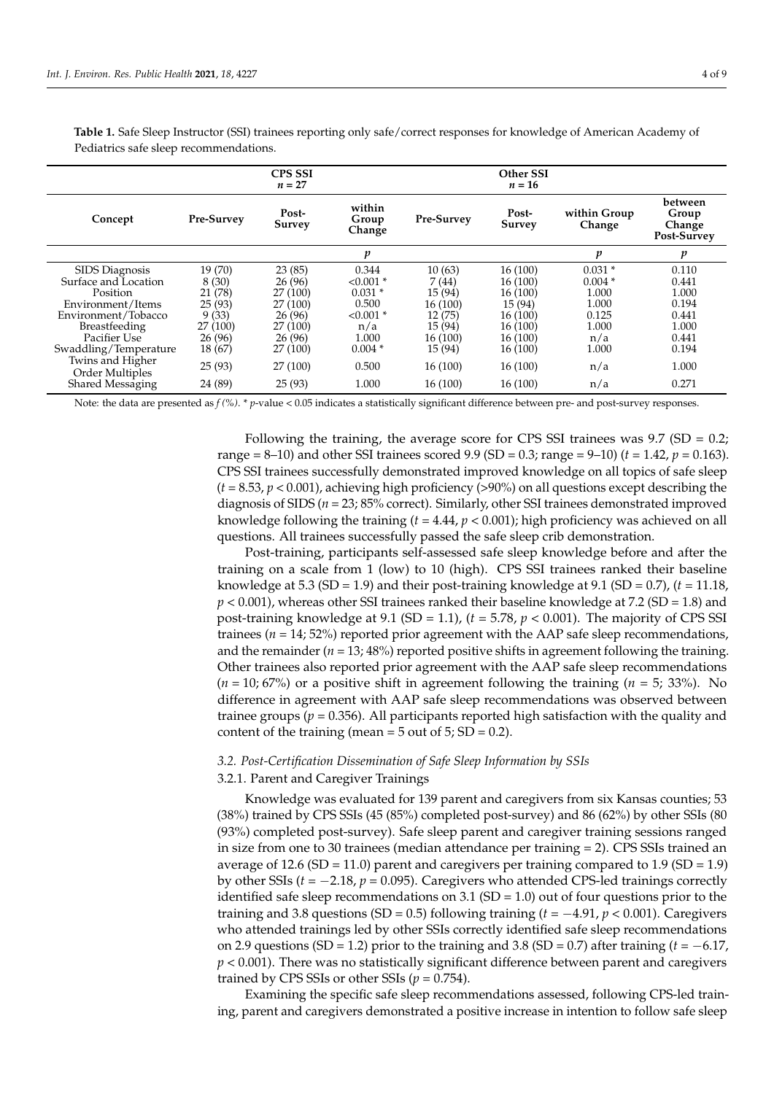<span id="page-3-0"></span>**Table 1.** Safe Sleep Instructor (SSI) trainees reporting only safe/correct responses for knowledge of American Academy of Pediatrics safe sleep recommendations.

|                                     |                   | <b>CPS SSI</b><br>$n=27$ |                           |                   | Other SSI<br>$n=16$ |                        |                                           |
|-------------------------------------|-------------------|--------------------------|---------------------------|-------------------|---------------------|------------------------|-------------------------------------------|
| Concept                             | <b>Pre-Survey</b> | Post-<br><b>Survey</b>   | within<br>Group<br>Change | <b>Pre-Survey</b> | Post-<br>Survey     | within Group<br>Change | between<br>Group<br>Change<br>Post-Survey |
|                                     |                   |                          | v                         |                   |                     | p                      | p                                         |
| SIDS Diagnosis                      | 19 (70)           | 23(85)                   | 0.344                     | 10(63)            | 16 (100)            | $0.031*$               | 0.110                                     |
| Surface and Location                | 8(30)             | 26(96)                   | $< 0.001$ *               | 7(44)             | 16 (100)            | $0.004*$               | 0.441                                     |
| Position                            | 21 (78)           | 27 (100)                 | $0.031*$                  | 15 (94)           | 16 (100)            | 1.000                  | 1.000                                     |
| Environment/Items                   | 25(93)            | 27 (100)                 | 0.500                     | 16(100)           | 15 (94)             | 1.000                  | 0.194                                     |
| Environment/Tobacco                 | 9(33)             | 26(96)                   | $< 0.001$ *               | 12(75)            | 16 (100)            | 0.125                  | 0.441                                     |
| <b>Breastfeeding</b>                | 27 (100)          | 27 (100)                 | n/a                       | 15 (94)           | 16 (100)            | 1.000                  | 1.000                                     |
| Pacifier Use                        | 26(96)            | 26(96)                   | 1.000                     | 16 (100)          | 16 (100)            | n/a                    | 0.441                                     |
| Swaddling/Temperature               | 18(67)            | 27 (100)                 | $0.004*$                  | 15 (94)           | 16 (100)            | 1.000                  | 0.194                                     |
| Twins and Higher<br>Order Multiples | 25(93)            | 27 (100)                 | 0.500                     | 16 (100)          | 16(100)             | n/a                    | 1.000                                     |
| Shared Messaging                    | 24 (89)           | 25(93)                   | 1.000                     | 16(100)           | 16 (100)            | n/a                    | 0.271                                     |

Note: the data are presented as  $f$  (%). \* *p*-value < 0.05 indicates a statistically significant difference between pre- and post-survey responses.

Following the training, the average score for CPS SSI trainees was  $9.7$  (SD = 0.2; range = 8–10) and other SSI trainees scored 9.9 (SD = 0.3; range = 9–10) (*t =* 1.42, *p* = 0.163). CPS SSI trainees successfully demonstrated improved knowledge on all topics of safe sleep  $(t = 8.53, p < 0.001)$ , achieving high proficiency (>90%) on all questions except describing the diagnosis of SIDS (*n* = 23; 85% correct). Similarly, other SSI trainees demonstrated improved knowledge following the training (*t =* 4.44, *p* < 0.001); high proficiency was achieved on all questions. All trainees successfully passed the safe sleep crib demonstration.

Post-training, participants self-assessed safe sleep knowledge before and after the training on a scale from 1 (low) to 10 (high). CPS SSI trainees ranked their baseline knowledge at 5.3 (SD = 1.9) and their post-training knowledge at 9.1 (SD = 0.7), (*t =* 11.18, *p* < 0.001), whereas other SSI trainees ranked their baseline knowledge at 7.2 (SD = 1.8) and post-training knowledge at 9.1 (SD = 1.1), (*t =* 5.78, *p* < 0.001). The majority of CPS SSI trainees ( $n = 14$ ; 52%) reported prior agreement with the AAP safe sleep recommendations, and the remainder  $(n = 13, 48%)$  reported positive shifts in agreement following the training. Other trainees also reported prior agreement with the AAP safe sleep recommendations (*n* = 10; 67%) or a positive shift in agreement following the training (*n* = 5; 33%). No difference in agreement with AAP safe sleep recommendations was observed between trainee groups ( $p = 0.356$ ). All participants reported high satisfaction with the quality and content of the training (mean =  $5$  out of  $5$ ; SD = 0.2).

### *3.2. Post-Certification Dissemination of Safe Sleep Information by SSIs*

#### 3.2.1. Parent and Caregiver Trainings

Knowledge was evaluated for 139 parent and caregivers from six Kansas counties; 53 (38%) trained by CPS SSIs (45 (85%) completed post-survey) and 86 (62%) by other SSIs (80 (93%) completed post-survey). Safe sleep parent and caregiver training sessions ranged in size from one to 30 trainees (median attendance per training  $= 2$ ). CPS SSIs trained an average of 12.6 (SD = 11.0) parent and caregivers per training compared to 1.9 (SD = 1.9) by other SSIs (*t =* −2.18, *p* = 0.095). Caregivers who attended CPS-led trainings correctly identified safe sleep recommendations on 3.1 ( $SD = 1.0$ ) out of four questions prior to the training and 3.8 questions (SD = 0.5) following training  $(t = -4.91, p < 0.001)$ . Caregivers who attended trainings led by other SSIs correctly identified safe sleep recommendations on 2.9 questions (SD = 1.2) prior to the training and 3.8 (SD = 0.7) after training ( $t = -6.17$ ,  $p < 0.001$ ). There was no statistically significant difference between parent and caregivers trained by CPS SSIs or other SSIs  $(p = 0.754)$ .

Examining the specific safe sleep recommendations assessed, following CPS-led training, parent and caregivers demonstrated a positive increase in intention to follow safe sleep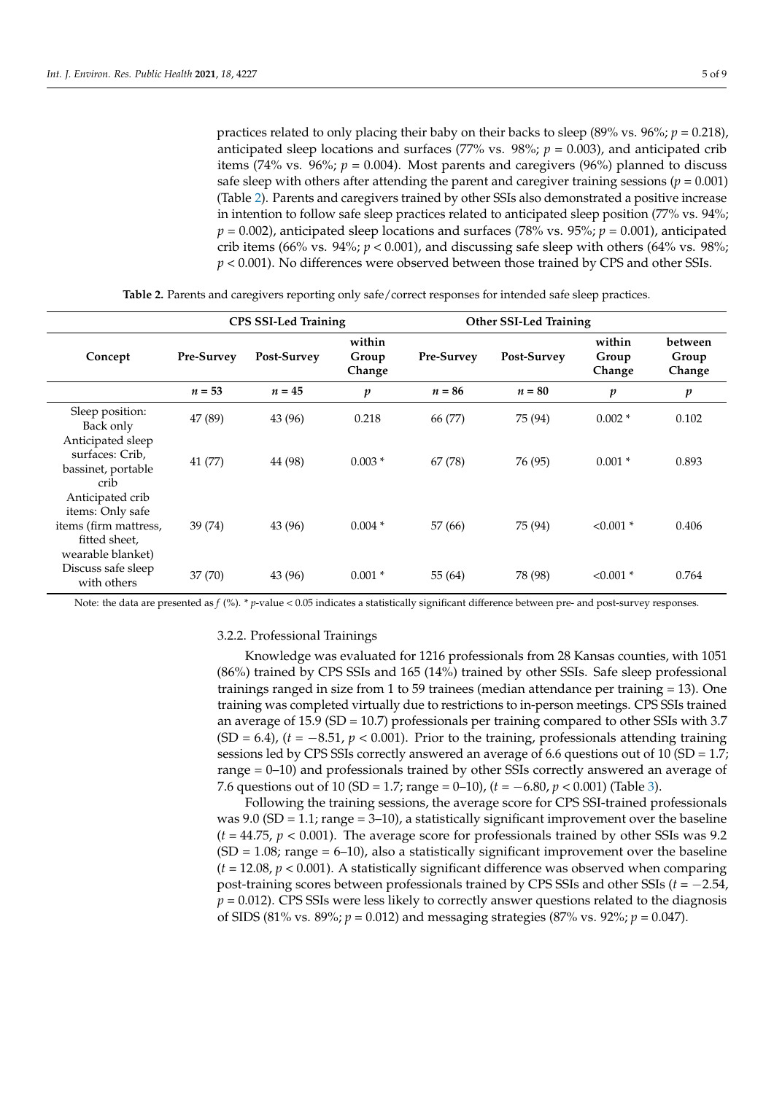practices related to only placing their baby on their backs to sleep (89% vs. 96%; *p* = 0.218), anticipated sleep locations and surfaces (77% vs.  $98\frac{\text{m}}{\text{s}}$ ;  $p = 0.003$ ), and anticipated crib items (74% vs. 96%;  $p = 0.004$ ). Most parents and caregivers (96%) planned to discuss safe sleep with others after attending the parent and caregiver training sessions ( $p = 0.001$ ) (Table [2\)](#page-4-0). Parents and caregivers trained by other SSIs also demonstrated a positive increase in intention to follow safe sleep practices related to anticipated sleep position (77% vs. 94%; *p* = 0.002), anticipated sleep locations and surfaces (78% vs. 95%; *p* = 0.001), anticipated crib items (66% vs. 94%;  $p < 0.001$ ), and discussing safe sleep with others (64% vs. 98%; *p* < 0.001). No differences were observed between those trained by CPS and other SSIs.

<span id="page-4-0"></span>

|                                                                                                     | <b>CPS SSI-Led Training</b> |             |                           | <b>Other SSI-Led Training</b> |             |                           |                            |
|-----------------------------------------------------------------------------------------------------|-----------------------------|-------------|---------------------------|-------------------------------|-------------|---------------------------|----------------------------|
| Concept                                                                                             | <b>Pre-Survey</b>           | Post-Survey | within<br>Group<br>Change | <b>Pre-Survey</b>             | Post-Survey | within<br>Group<br>Change | between<br>Group<br>Change |
|                                                                                                     | $n = 53$                    | $n=45$      | p                         | $n = 86$                      | $n = 80$    | p                         | $\boldsymbol{p}$           |
| Sleep position:<br>Back only                                                                        | 47 (89)                     | 43 (96)     | 0.218                     | 66 (77)                       | 75 (94)     | $0.002*$                  | 0.102                      |
| Anticipated sleep<br>surfaces: Crib,<br>bassinet, portable<br>crib                                  | 41 (77)                     | 44 (98)     | $0.003*$                  | 67 (78)                       | 76 (95)     | $0.001*$                  | 0.893                      |
| Anticipated crib<br>items: Only safe<br>items (firm mattress,<br>fitted sheet,<br>wearable blanket) | 39(74)                      | 43 (96)     | $0.004*$                  | 57 (66)                       | 75 (94)     | $< 0.001$ *               | 0.406                      |
| Discuss safe sleep<br>with others                                                                   | 37 (70)                     | 43 (96)     | $0.001*$                  | 55 (64)                       | 78 (98)     | $< 0.001$ *               | 0.764                      |

**Table 2.** Parents and caregivers reporting only safe/correct responses for intended safe sleep practices.

Note: the data are presented as  $f$  (%). \* *p*-value < 0.05 indicates a statistically significant difference between pre- and post-survey responses.

#### 3.2.2. Professional Trainings

Knowledge was evaluated for 1216 professionals from 28 Kansas counties, with 1051 (86%) trained by CPS SSIs and 165 (14%) trained by other SSIs. Safe sleep professional trainings ranged in size from 1 to 59 trainees (median attendance per training = 13). One training was completed virtually due to restrictions to in-person meetings. CPS SSIs trained an average of  $15.9$  (SD =  $10.7$ ) professionals per training compared to other SSIs with 3.7  $(SD = 6.4)$ ,  $(t = -8.51, p < 0.001)$ . Prior to the training, professionals attending training sessions led by CPS SSIs correctly answered an average of 6.6 questions out of 10 (SD = 1.7; range = 0–10) and professionals trained by other SSIs correctly answered an average of 7.6 questions out of 10 (SD = 1.7; range = 0–10), (*t =* −6.80, *p* < 0.001) (Table [3\)](#page-5-0).

Following the training sessions, the average score for CPS SSI-trained professionals was 9.0 (SD = 1.1; range = 3–10), a statistically significant improvement over the baseline (*t =* 44.75, *p* < 0.001). The average score for professionals trained by other SSIs was 9.2  $(SD = 1.08$ ; range = 6–10), also a statistically significant improvement over the baseline (*t =* 12.08, *p* < 0.001). A statistically significant difference was observed when comparing post-training scores between professionals trained by CPS SSIs and other SSIs (*t =* −2.54,  $p = 0.012$ ). CPS SSIs were less likely to correctly answer questions related to the diagnosis of SIDS (81% vs. 89%; *p* = 0.012) and messaging strategies (87% vs. 92%; *p* = 0.047).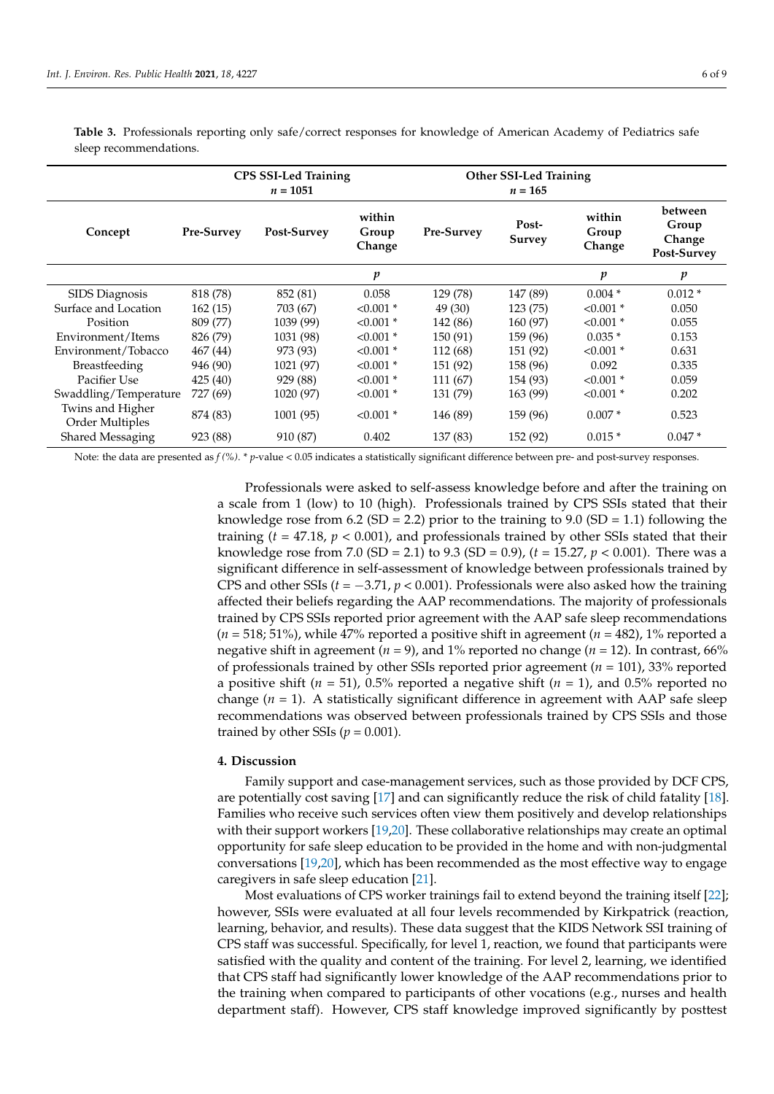<span id="page-5-0"></span>**Table 3.** Professionals reporting only safe/correct responses for knowledge of American Academy of Pediatrics safe sleep recommendations.

|                                     | <b>CPS SSI-Led Training</b><br>$n = 1051$ |             |                           | <b>Other SSI-Led Training</b><br>$n = 165$ |                        |                           |                                           |
|-------------------------------------|-------------------------------------------|-------------|---------------------------|--------------------------------------------|------------------------|---------------------------|-------------------------------------------|
| Concept                             | Pre-Survey                                | Post-Survey | within<br>Group<br>Change | Pre-Survey                                 | Post-<br><b>Survey</b> | within<br>Group<br>Change | between<br>Group<br>Change<br>Post-Survey |
|                                     |                                           |             | p                         |                                            |                        | p                         | p                                         |
| SIDS Diagnosis                      | 818 (78)                                  | 852 (81)    | 0.058                     | 129 (78)                                   | 147 (89)               | $0.004*$                  | $0.012*$                                  |
| Surface and Location                | 162(15)                                   | 703 (67)    | $< 0.001$ *               | 49 (30)                                    | 123 (75)               | $< 0.001$ *               | 0.050                                     |
| Position                            | 809 (77)                                  | 1039 (99)   | $< 0.001$ *               | 142 (86)                                   | 160 (97)               | $< 0.001$ *               | 0.055                                     |
| Environment/Items                   | 826 (79)                                  | 1031 (98)   | $< 0.001$ *               | 150 (91)                                   | 159 (96)               | $0.035*$                  | 0.153                                     |
| Environment/Tobacco                 | 467 (44)                                  | 973 (93)    | $< 0.001$ *               | 112 (68)                                   | 151 (92)               | $< 0.001$ *               | 0.631                                     |
| <b>Breastfeeding</b>                | 946 (90)                                  | 1021 (97)   | $< 0.001$ *               | 151 (92)                                   | 158 (96)               | 0.092                     | 0.335                                     |
| Pacifier Use                        | 425(40)                                   | 929 (88)    | $< 0.001$ *               | 111 (67)                                   | 154 (93)               | $< 0.001$ *               | 0.059                                     |
| Swaddling/Temperature               | 727 (69)                                  | 1020 (97)   | $< 0.001$ *               | 131 (79)                                   | 163 (99)               | $< 0.001$ *               | 0.202                                     |
| Twins and Higher<br>Order Multiples | 874 (83)                                  | 1001 (95)   | $< 0.001$ *               | 146 (89)                                   | 159 (96)               | $0.007*$                  | 0.523                                     |
| Shared Messaging                    | 923 (88)                                  | 910 (87)    | 0.402                     | 137 (83)                                   | 152 (92)               | $0.015*$                  | $0.047*$                                  |

Note: the data are presented as  $f$  (%). \* *p*-value < 0.05 indicates a statistically significant difference between pre- and post-survey responses.

Professionals were asked to self-assess knowledge before and after the training on a scale from 1 (low) to 10 (high). Professionals trained by CPS SSIs stated that their knowledge rose from 6.2 (SD = 2.2) prior to the training to 9.0 (SD = 1.1) following the training (*t =* 47.18, *p* < 0.001), and professionals trained by other SSIs stated that their knowledge rose from 7.0 (SD = 2.1) to 9.3 (SD = 0.9), (*t =* 15.27, *p* < 0.001). There was a significant difference in self-assessment of knowledge between professionals trained by CPS and other SSIs (*t =* −3.71, *p* < 0.001). Professionals were also asked how the training affected their beliefs regarding the AAP recommendations. The majority of professionals trained by CPS SSIs reported prior agreement with the AAP safe sleep recommendations  $(n = 518; 51\%)$ , while 47% reported a positive shift in agreement  $(n = 482)$ , 1% reported a negative shift in agreement ( $n = 9$ ), and 1% reported no change ( $n = 12$ ). In contrast, 66% of professionals trained by other SSIs reported prior agreement  $(n = 101)$ , 33% reported a positive shift ( $n = 51$ ), 0.5% reported a negative shift ( $n = 1$ ), and 0.5% reported no change  $(n = 1)$ . A statistically significant difference in agreement with AAP safe sleep recommendations was observed between professionals trained by CPS SSIs and those trained by other SSIs ( $p = 0.001$ ).

## **4. Discussion**

Family support and case-management services, such as those provided by DCF CPS, are potentially cost saving [\[17\]](#page-8-12) and can significantly reduce the risk of child fatality [\[18\]](#page-8-13). Families who receive such services often view them positively and develop relationships with their support workers [\[19](#page-8-14)[,20\]](#page-8-15). These collaborative relationships may create an optimal opportunity for safe sleep education to be provided in the home and with non-judgmental conversations [\[19](#page-8-14)[,20\]](#page-8-15), which has been recommended as the most effective way to engage caregivers in safe sleep education [\[21\]](#page-8-16).

Most evaluations of CPS worker trainings fail to extend beyond the training itself [\[22\]](#page-8-17); however, SSIs were evaluated at all four levels recommended by Kirkpatrick (reaction, learning, behavior, and results). These data suggest that the KIDS Network SSI training of CPS staff was successful. Specifically, for level 1, reaction, we found that participants were satisfied with the quality and content of the training. For level 2, learning, we identified that CPS staff had significantly lower knowledge of the AAP recommendations prior to the training when compared to participants of other vocations (e.g., nurses and health department staff). However, CPS staff knowledge improved significantly by posttest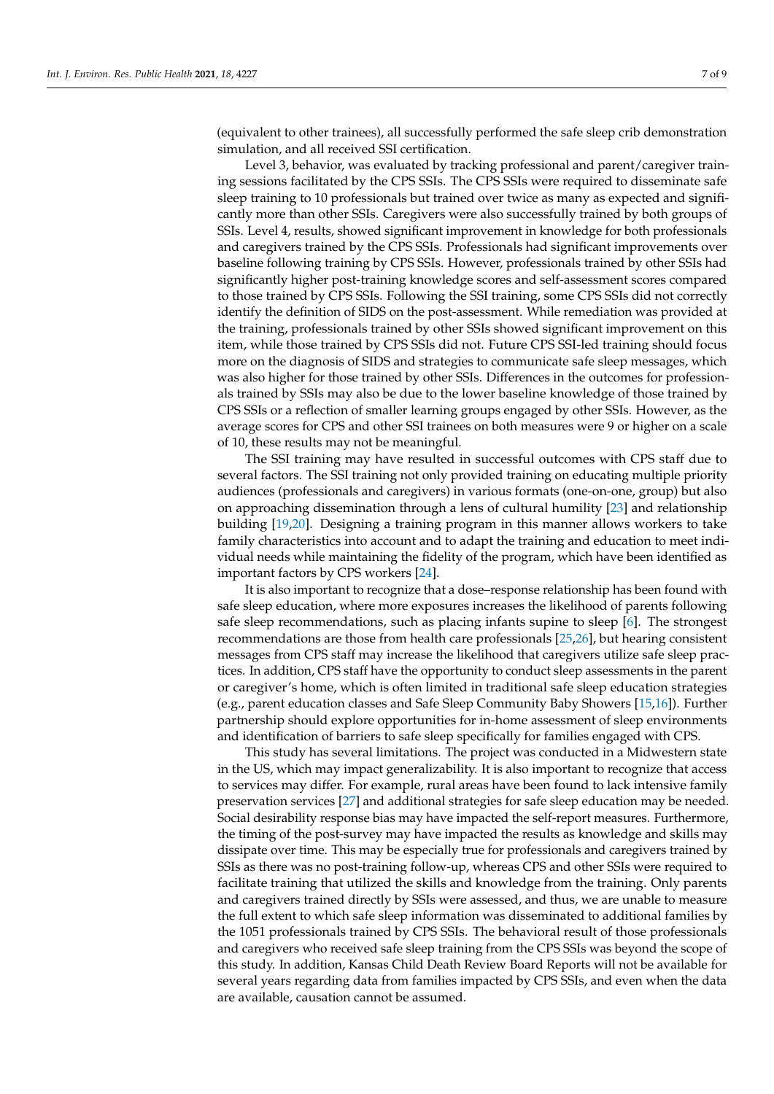(equivalent to other trainees), all successfully performed the safe sleep crib demonstration simulation, and all received SSI certification.

Level 3, behavior, was evaluated by tracking professional and parent/caregiver training sessions facilitated by the CPS SSIs. The CPS SSIs were required to disseminate safe sleep training to 10 professionals but trained over twice as many as expected and significantly more than other SSIs. Caregivers were also successfully trained by both groups of SSIs. Level 4, results, showed significant improvement in knowledge for both professionals and caregivers trained by the CPS SSIs. Professionals had significant improvements over baseline following training by CPS SSIs. However, professionals trained by other SSIs had significantly higher post-training knowledge scores and self-assessment scores compared to those trained by CPS SSIs. Following the SSI training, some CPS SSIs did not correctly identify the definition of SIDS on the post-assessment. While remediation was provided at the training, professionals trained by other SSIs showed significant improvement on this item, while those trained by CPS SSIs did not. Future CPS SSI-led training should focus more on the diagnosis of SIDS and strategies to communicate safe sleep messages, which was also higher for those trained by other SSIs. Differences in the outcomes for professionals trained by SSIs may also be due to the lower baseline knowledge of those trained by CPS SSIs or a reflection of smaller learning groups engaged by other SSIs. However, as the average scores for CPS and other SSI trainees on both measures were 9 or higher on a scale of 10, these results may not be meaningful.

The SSI training may have resulted in successful outcomes with CPS staff due to several factors. The SSI training not only provided training on educating multiple priority audiences (professionals and caregivers) in various formats (one-on-one, group) but also on approaching dissemination through a lens of cultural humility [\[23\]](#page-8-18) and relationship building [\[19](#page-8-14)[,20\]](#page-8-15). Designing a training program in this manner allows workers to take family characteristics into account and to adapt the training and education to meet individual needs while maintaining the fidelity of the program, which have been identified as important factors by CPS workers [\[24\]](#page-8-19).

It is also important to recognize that a dose–response relationship has been found with safe sleep education, where more exposures increases the likelihood of parents following safe sleep recommendations, such as placing infants supine to sleep [\[6\]](#page-8-2). The strongest recommendations are those from health care professionals [\[25](#page-8-20)[,26\]](#page-8-21), but hearing consistent messages from CPS staff may increase the likelihood that caregivers utilize safe sleep practices. In addition, CPS staff have the opportunity to conduct sleep assessments in the parent or caregiver's home, which is often limited in traditional safe sleep education strategies (e.g., parent education classes and Safe Sleep Community Baby Showers [\[15](#page-8-10)[,16\]](#page-8-11)). Further partnership should explore opportunities for in-home assessment of sleep environments and identification of barriers to safe sleep specifically for families engaged with CPS.

This study has several limitations. The project was conducted in a Midwestern state in the US, which may impact generalizability. It is also important to recognize that access to services may differ. For example, rural areas have been found to lack intensive family preservation services [\[27\]](#page-8-22) and additional strategies for safe sleep education may be needed. Social desirability response bias may have impacted the self-report measures. Furthermore, the timing of the post-survey may have impacted the results as knowledge and skills may dissipate over time. This may be especially true for professionals and caregivers trained by SSIs as there was no post-training follow-up, whereas CPS and other SSIs were required to facilitate training that utilized the skills and knowledge from the training. Only parents and caregivers trained directly by SSIs were assessed, and thus, we are unable to measure the full extent to which safe sleep information was disseminated to additional families by the 1051 professionals trained by CPS SSIs. The behavioral result of those professionals and caregivers who received safe sleep training from the CPS SSIs was beyond the scope of this study. In addition, Kansas Child Death Review Board Reports will not be available for several years regarding data from families impacted by CPS SSIs, and even when the data are available, causation cannot be assumed.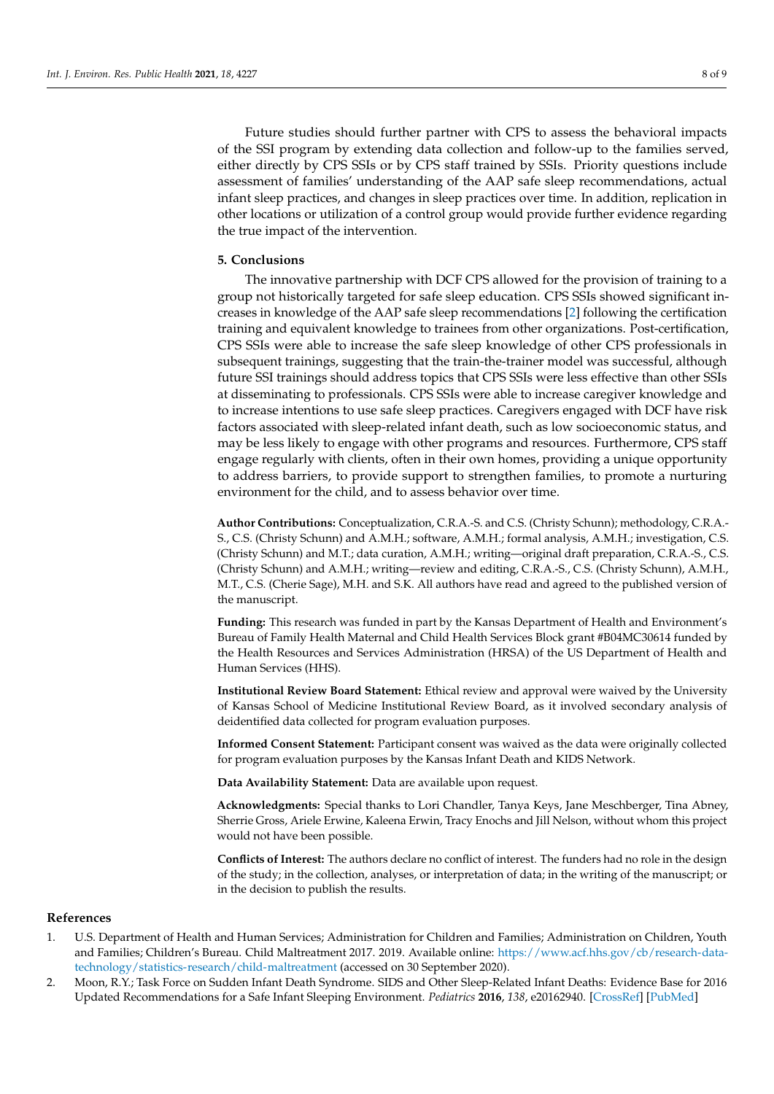Future studies should further partner with CPS to assess the behavioral impacts of the SSI program by extending data collection and follow-up to the families served, either directly by CPS SSIs or by CPS staff trained by SSIs. Priority questions include assessment of families' understanding of the AAP safe sleep recommendations, actual infant sleep practices, and changes in sleep practices over time. In addition, replication in other locations or utilization of a control group would provide further evidence regarding the true impact of the intervention.

#### **5. Conclusions**

The innovative partnership with DCF CPS allowed for the provision of training to a group not historically targeted for safe sleep education. CPS SSIs showed significant increases in knowledge of the AAP safe sleep recommendations [\[2\]](#page-7-1) following the certification training and equivalent knowledge to trainees from other organizations. Post-certification, CPS SSIs were able to increase the safe sleep knowledge of other CPS professionals in subsequent trainings, suggesting that the train-the-trainer model was successful, although future SSI trainings should address topics that CPS SSIs were less effective than other SSIs at disseminating to professionals. CPS SSIs were able to increase caregiver knowledge and to increase intentions to use safe sleep practices. Caregivers engaged with DCF have risk factors associated with sleep-related infant death, such as low socioeconomic status, and may be less likely to engage with other programs and resources. Furthermore, CPS staff engage regularly with clients, often in their own homes, providing a unique opportunity to address barriers, to provide support to strengthen families, to promote a nurturing environment for the child, and to assess behavior over time.

**Author Contributions:** Conceptualization, C.R.A.-S. and C.S. (Christy Schunn); methodology, C.R.A.- S., C.S. (Christy Schunn) and A.M.H.; software, A.M.H.; formal analysis, A.M.H.; investigation, C.S. (Christy Schunn) and M.T.; data curation, A.M.H.; writing—original draft preparation, C.R.A.-S., C.S. (Christy Schunn) and A.M.H.; writing—review and editing, C.R.A.-S., C.S. (Christy Schunn), A.M.H., M.T., C.S. (Cherie Sage), M.H. and S.K. All authors have read and agreed to the published version of the manuscript.

**Funding:** This research was funded in part by the Kansas Department of Health and Environment's Bureau of Family Health Maternal and Child Health Services Block grant #B04MC30614 funded by the Health Resources and Services Administration (HRSA) of the US Department of Health and Human Services (HHS).

**Institutional Review Board Statement:** Ethical review and approval were waived by the University of Kansas School of Medicine Institutional Review Board, as it involved secondary analysis of deidentified data collected for program evaluation purposes.

**Informed Consent Statement:** Participant consent was waived as the data were originally collected for program evaluation purposes by the Kansas Infant Death and KIDS Network.

**Data Availability Statement:** Data are available upon request.

**Acknowledgments:** Special thanks to Lori Chandler, Tanya Keys, Jane Meschberger, Tina Abney, Sherrie Gross, Ariele Erwine, Kaleena Erwin, Tracy Enochs and Jill Nelson, without whom this project would not have been possible.

**Conflicts of Interest:** The authors declare no conflict of interest. The funders had no role in the design of the study; in the collection, analyses, or interpretation of data; in the writing of the manuscript; or in the decision to publish the results.

## **References**

- <span id="page-7-0"></span>1. U.S. Department of Health and Human Services; Administration for Children and Families; Administration on Children, Youth and Families; Children's Bureau. Child Maltreatment 2017. 2019. Available online: [https://www.acf.hhs.gov/cb/research-data](https://www.acf.hhs.gov/cb/research-data-technology/statistics-research/child-maltreatment)[technology/statistics-research/child-maltreatment](https://www.acf.hhs.gov/cb/research-data-technology/statistics-research/child-maltreatment) (accessed on 30 September 2020).
- <span id="page-7-1"></span>2. Moon, R.Y.; Task Force on Sudden Infant Death Syndrome. SIDS and Other Sleep-Related Infant Deaths: Evidence Base for 2016 Updated Recommendations for a Safe Infant Sleeping Environment. *Pediatrics* **2016**, *138*, e20162940. [\[CrossRef\]](http://doi.org/10.1542/peds.2016-2940) [\[PubMed\]](http://www.ncbi.nlm.nih.gov/pubmed/27940805)